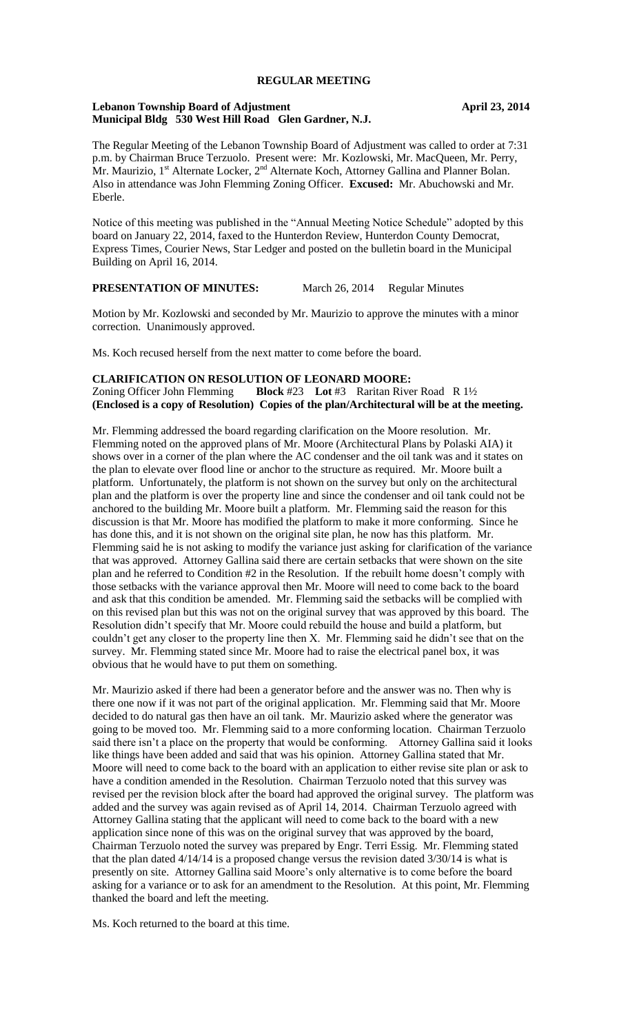## **REGULAR MEETING**

#### **Lebanon Township Board of Adjustment April 23, 2014 Municipal Bldg 530 West Hill Road Glen Gardner, N.J.**

The Regular Meeting of the Lebanon Township Board of Adjustment was called to order at 7:31 p.m. by Chairman Bruce Terzuolo. Present were: Mr. Kozlowski, Mr. MacQueen, Mr. Perry, Mr. Maurizio, 1<sup>st</sup> Alternate Locker, 2<sup>nd</sup> Alternate Koch, Attorney Gallina and Planner Bolan. Also in attendance was John Flemming Zoning Officer. **Excused:** Mr. Abuchowski and Mr. Eberle.

Notice of this meeting was published in the "Annual Meeting Notice Schedule" adopted by this board on January 22, 2014, faxed to the Hunterdon Review, Hunterdon County Democrat, Express Times, Courier News, Star Ledger and posted on the bulletin board in the Municipal Building on April 16, 2014.

# **PRESENTATION OF MINUTES:** March 26, 2014 Regular Minutes

Motion by Mr. Kozlowski and seconded by Mr. Maurizio to approve the minutes with a minor correction. Unanimously approved.

Ms. Koch recused herself from the next matter to come before the board.

## **CLARIFICATION ON RESOLUTION OF LEONARD MOORE:**  Zoning Officer John Flemming **Block** #23 **Lot** #3 Raritan River Road R 1½ **(Enclosed is a copy of Resolution) Copies of the plan/Architectural will be at the meeting.**

Mr. Flemming addressed the board regarding clarification on the Moore resolution. Mr. Flemming noted on the approved plans of Mr. Moore (Architectural Plans by Polaski AIA) it shows over in a corner of the plan where the AC condenser and the oil tank was and it states on the plan to elevate over flood line or anchor to the structure as required. Mr. Moore built a platform. Unfortunately, the platform is not shown on the survey but only on the architectural plan and the platform is over the property line and since the condenser and oil tank could not be anchored to the building Mr. Moore built a platform. Mr. Flemming said the reason for this discussion is that Mr. Moore has modified the platform to make it more conforming. Since he has done this, and it is not shown on the original site plan, he now has this platform. Mr. Flemming said he is not asking to modify the variance just asking for clarification of the variance that was approved. Attorney Gallina said there are certain setbacks that were shown on the site plan and he referred to Condition #2 in the Resolution. If the rebuilt home doesn't comply with those setbacks with the variance approval then Mr. Moore will need to come back to the board and ask that this condition be amended. Mr. Flemming said the setbacks will be complied with on this revised plan but this was not on the original survey that was approved by this board. The Resolution didn't specify that Mr. Moore could rebuild the house and build a platform, but couldn't get any closer to the property line then X. Mr. Flemming said he didn't see that on the survey. Mr. Flemming stated since Mr. Moore had to raise the electrical panel box, it was obvious that he would have to put them on something.

Mr. Maurizio asked if there had been a generator before and the answer was no. Then why is there one now if it was not part of the original application. Mr. Flemming said that Mr. Moore decided to do natural gas then have an oil tank. Mr. Maurizio asked where the generator was going to be moved too. Mr. Flemming said to a more conforming location. Chairman Terzuolo said there isn't a place on the property that would be conforming. Attorney Gallina said it looks like things have been added and said that was his opinion. Attorney Gallina stated that Mr. Moore will need to come back to the board with an application to either revise site plan or ask to have a condition amended in the Resolution. Chairman Terzuolo noted that this survey was revised per the revision block after the board had approved the original survey. The platform was added and the survey was again revised as of April 14, 2014. Chairman Terzuolo agreed with Attorney Gallina stating that the applicant will need to come back to the board with a new application since none of this was on the original survey that was approved by the board, Chairman Terzuolo noted the survey was prepared by Engr. Terri Essig. Mr. Flemming stated that the plan dated 4/14/14 is a proposed change versus the revision dated 3/30/14 is what is presently on site. Attorney Gallina said Moore's only alternative is to come before the board asking for a variance or to ask for an amendment to the Resolution. At this point, Mr. Flemming thanked the board and left the meeting.

Ms. Koch returned to the board at this time.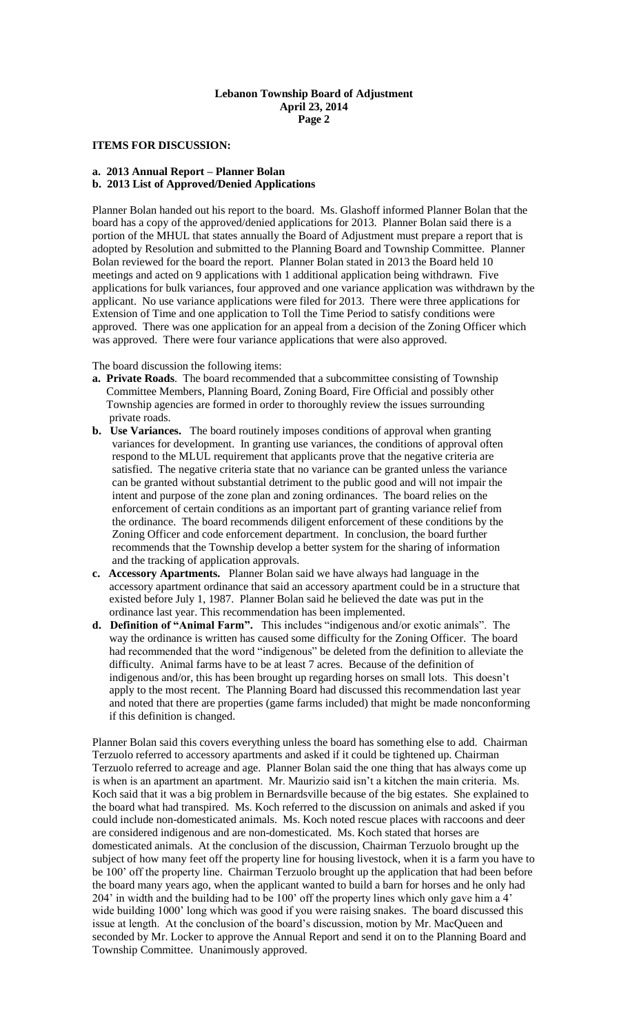## **Lebanon Township Board of Adjustment April 23, 2014 Page 2**

## **ITEMS FOR DISCUSSION:**

## **a. 2013 Annual Report – Planner Bolan**

**b. 2013 List of Approved/Denied Applications**

Planner Bolan handed out his report to the board. Ms. Glashoff informed Planner Bolan that the board has a copy of the approved/denied applications for 2013. Planner Bolan said there is a portion of the MHUL that states annually the Board of Adjustment must prepare a report that is adopted by Resolution and submitted to the Planning Board and Township Committee. Planner Bolan reviewed for the board the report. Planner Bolan stated in 2013 the Board held 10 meetings and acted on 9 applications with 1 additional application being withdrawn. Five applications for bulk variances, four approved and one variance application was withdrawn by the applicant. No use variance applications were filed for 2013. There were three applications for Extension of Time and one application to Toll the Time Period to satisfy conditions were approved. There was one application for an appeal from a decision of the Zoning Officer which was approved. There were four variance applications that were also approved.

#### The board discussion the following items:

- **a. Private Roads**. The board recommended that a subcommittee consisting of Township Committee Members, Planning Board, Zoning Board, Fire Official and possibly other Township agencies are formed in order to thoroughly review the issues surrounding private roads.
- **b. Use Variances.** The board routinely imposes conditions of approval when granting variances for development. In granting use variances, the conditions of approval often respond to the MLUL requirement that applicants prove that the negative criteria are satisfied. The negative criteria state that no variance can be granted unless the variance can be granted without substantial detriment to the public good and will not impair the intent and purpose of the zone plan and zoning ordinances. The board relies on the enforcement of certain conditions as an important part of granting variance relief from the ordinance. The board recommends diligent enforcement of these conditions by the Zoning Officer and code enforcement department. In conclusion, the board further recommends that the Township develop a better system for the sharing of information and the tracking of application approvals.
- **c. Accessory Apartments.** Planner Bolan said we have always had language in the accessory apartment ordinance that said an accessory apartment could be in a structure that existed before July 1, 1987. Planner Bolan said he believed the date was put in the ordinance last year. This recommendation has been implemented.
- **d. Definition of "Animal Farm".** This includes "indigenous and/or exotic animals". The way the ordinance is written has caused some difficulty for the Zoning Officer. The board had recommended that the word "indigenous" be deleted from the definition to alleviate the difficulty. Animal farms have to be at least 7 acres. Because of the definition of indigenous and/or, this has been brought up regarding horses on small lots. This doesn't apply to the most recent. The Planning Board had discussed this recommendation last year and noted that there are properties (game farms included) that might be made nonconforming if this definition is changed.

Planner Bolan said this covers everything unless the board has something else to add. Chairman Terzuolo referred to accessory apartments and asked if it could be tightened up. Chairman Terzuolo referred to acreage and age. Planner Bolan said the one thing that has always come up is when is an apartment an apartment. Mr. Maurizio said isn't a kitchen the main criteria. Ms. Koch said that it was a big problem in Bernardsville because of the big estates. She explained to the board what had transpired. Ms. Koch referred to the discussion on animals and asked if you could include non-domesticated animals. Ms. Koch noted rescue places with raccoons and deer are considered indigenous and are non-domesticated. Ms. Koch stated that horses are domesticated animals. At the conclusion of the discussion, Chairman Terzuolo brought up the subject of how many feet off the property line for housing livestock, when it is a farm you have to be 100' off the property line. Chairman Terzuolo brought up the application that had been before the board many years ago, when the applicant wanted to build a barn for horses and he only had 204' in width and the building had to be 100' off the property lines which only gave him a 4' wide building 1000' long which was good if you were raising snakes. The board discussed this issue at length. At the conclusion of the board's discussion, motion by Mr. MacQueen and seconded by Mr. Locker to approve the Annual Report and send it on to the Planning Board and Township Committee. Unanimously approved.